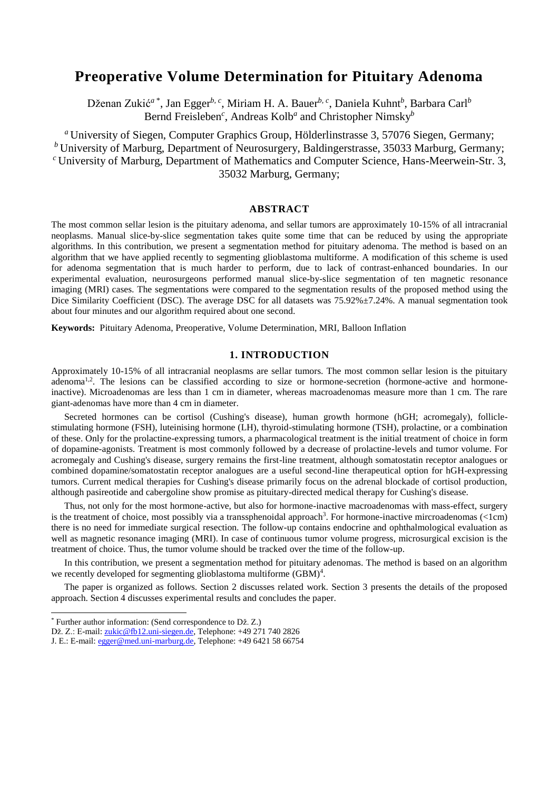# **Preoperative Volume Determination for Pituitary Adenoma**

Dženan Zukić*<sup>a</sup>*\* , Jan Egger*b, c*, Miriam H. A. Bauer*b, c*, Daniela Kuhnt*<sup>b</sup>* , Barbara Carl*<sup>b</sup>* Bernd Freisleben<sup>c</sup>, Andreas Kolb<sup>a</sup> and Christopher Nimsky<sup>b</sup>

*<sup>a</sup>* University of Siegen, Computer Graphics Group, Hölderlinstrasse 3, 57076 Siegen, Germany; *<sup>b</sup>* University of Marburg, Department of Neurosurgery, Baldingerstrasse, 35033 Marburg, Germany; *<sup>c</sup>* University of Marburg, Department of Mathematics and Computer Science, Hans-Meerwein-Str. 3, 35032 Marburg, Germany;

### **ABSTRACT**

The most common sellar lesion is the pituitary adenoma, and sellar tumors are approximately 10-15% of all intracranial neoplasms. Manual slice-by-slice segmentation takes quite some time that can be reduced by using the appropriate algorithms. In this contribution, we present a segmentation method for pituitary adenoma. The method is based on an algorithm that we have applied recently to segmenting glioblastoma multiforme. A modification of this scheme is used for adenoma segmentation that is much harder to perform, due to lack of contrast-enhanced boundaries. In our experimental evaluation, neurosurgeons performed manual slice-by-slice segmentation of ten magnetic resonance imaging (MRI) cases. The segmentations were compared to the segmentation results of the proposed method using the Dice Similarity Coefficient (DSC). The average DSC for all datasets was 75.92% $\pm$ 7.24%. A manual segmentation took about four minutes and our algorithm required about one second.

**Keywords:** Pituitary Adenoma, Preoperative, Volume Determination, MRI, Balloon Inflation

### **1. INTRODUCTION**

Approximately 10-15% of all intracranial neoplasms are sellar tumors. The most common sellar lesion is the pituitary adenoma<sup>1,2</sup>. The lesions can be classified according to size or hormone-secretion (hormone-active and hormoneinactive). Microadenomas are less than 1 cm in diameter, whereas macroadenomas measure more than 1 cm. The rare giant-adenomas have more than 4 cm in diameter.

Secreted hormones can be cortisol (Cushing's disease), human growth hormone (hGH; acromegaly), folliclestimulating hormone (FSH), luteinising hormone (LH), thyroid-stimulating hormone (TSH), prolactine, or a combination of these. Only for the prolactine-expressing tumors, a pharmacological treatment is the initial treatment of choice in form of dopamine-agonists. Treatment is most commonly followed by a decrease of prolactine-levels and tumor volume. For acromegaly and Cushing's disease, surgery remains the first-line treatment, although somatostatin receptor analogues or combined dopamine/somatostatin receptor analogues are a useful second-line therapeutical option for hGH-expressing tumors. Current medical therapies for Cushing's disease primarily focus on the adrenal blockade of cortisol production, although pasireotide and cabergoline show promise as pituitary-directed medical therapy for Cushing's disease.

Thus, not only for the most hormone-active, but also for hormone-inactive macroadenomas with mass-effect, surgery is the treatment of choice, most possibly via a transsphenoidal approach<sup>3</sup>. For hormone-inactive mircroadenomas  $(1cm)$ there is no need for immediate surgical resection. The follow-up contains endocrine and ophthalmological evaluation as well as magnetic resonance imaging (MRI). In case of continuous tumor volume progress, microsurgical excision is the treatment of choice. Thus, the tumor volume should be tracked over the time of the follow-up.

In this contribution, we present a segmentation method for pituitary adenomas. The method is based on an algorithm we recently developed for segmenting glioblastoma multiforme  $(BBM)^4$ .

The paper is organized as follows. Section 2 discusses related work. Section 3 presents the details of the proposed approach. Section 4 discusses experimental results and concludes the paper.

l

<sup>\*</sup> Further author information: (Send correspondence to Dž. Z.)

Dž. Z.: E-mail[: zukic@fb12.uni-siegen.de,](mailto:zukic@fb12.uni-siegen.de) Telephone: +49 271 740 2826

J. E.: E-mail[: egger@med.uni-marburg.de,](mailto:egger@med.uni-marburg.de) Telephone: +49 6421 58 66754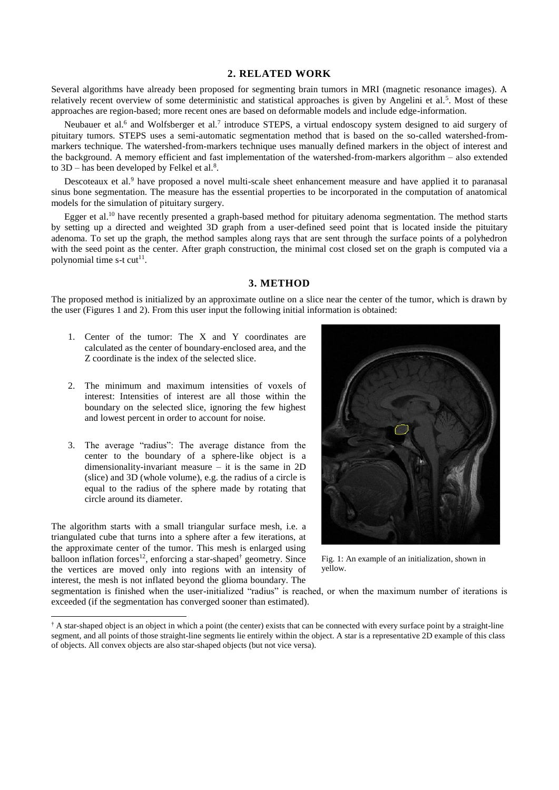#### **2. RELATED WORK**

Several algorithms have already been proposed for segmenting brain tumors in MRI (magnetic resonance images). A relatively recent overview of some deterministic and statistical approaches is given by Angelini et al.<sup>5</sup>. Most of these approaches are region-based; more recent ones are based on deformable models and include edge-information.

Neubauer et al.<sup>6</sup> and Wolfsberger et al.<sup>7</sup> introduce STEPS, a virtual endoscopy system designed to aid surgery of pituitary tumors. STEPS uses a semi-automatic segmentation method that is based on the so-called watershed-frommarkers technique. The watershed-from-markers technique uses manually defined markers in the object of interest and the background. A memory efficient and fast implementation of the watershed-from-markers algorithm – also extended to  $3D$  – has been developed by Felkel et al.<sup>8</sup>.

Descoteaux et al.<sup>9</sup> have proposed a novel multi-scale sheet enhancement measure and have applied it to paranasal sinus bone segmentation. The measure has the essential properties to be incorporated in the computation of anatomical models for the simulation of pituitary surgery.

Egger et al.<sup>10</sup> have recently presented a graph-based method for pituitary adenoma segmentation. The method starts by setting up a directed and weighted 3D graph from a user-defined seed point that is located inside the pituitary adenoma. To set up the graph, the method samples along rays that are sent through the surface points of a polyhedron with the seed point as the center. After graph construction, the minimal cost closed set on the graph is computed via a polynomial time s-t  $cut<sup>11</sup>$ .

## **3. METHOD**

The proposed method is initialized by an approximate outline on a slice near the center of the tumor, which is drawn by the user (Figures 1 and 2). From this user input the following initial information is obtained:

- 1. Center of the tumor: The X and Y coordinates are calculated as the center of boundary-enclosed area, and the Z coordinate is the index of the selected slice.
- 2. The minimum and maximum intensities of voxels of interest: Intensities of interest are all those within the boundary on the selected slice, ignoring the few highest and lowest percent in order to account for noise.
- 3. The average "radius": The average distance from the center to the boundary of a sphere-like object is a dimensionality-invariant measure – it is the same in 2D (slice) and 3D (whole volume), e.g. the radius of a circle is equal to the radius of the sphere made by rotating that circle around its diameter.

The algorithm starts with a small triangular surface mesh, i.e. a triangulated cube that turns into a sphere after a few iterations, at the approximate center of the tumor. This mesh is enlarged using balloon inflation forces<sup>12</sup>, enforcing a star-shaped<sup>†</sup> geometry. Since the vertices are moved only into regions with an intensity of interest, the mesh is not inflated beyond the glioma boundary. The

l



Fig. 1: An example of an initialization, shown in yellow.

segmentation is finished when the user-initialized "radius" is reached, or when the maximum number of iterations is exceeded (if the segmentation has converged sooner than estimated).

<sup>†</sup> A star-shaped object is an object in which a point (the center) exists that can be connected with every surface point by a straight-line segment, and all points of those straight-line segments lie entirely within the object. A star is a representative 2D example of this class of objects. All convex objects are also star-shaped objects (but not vice versa).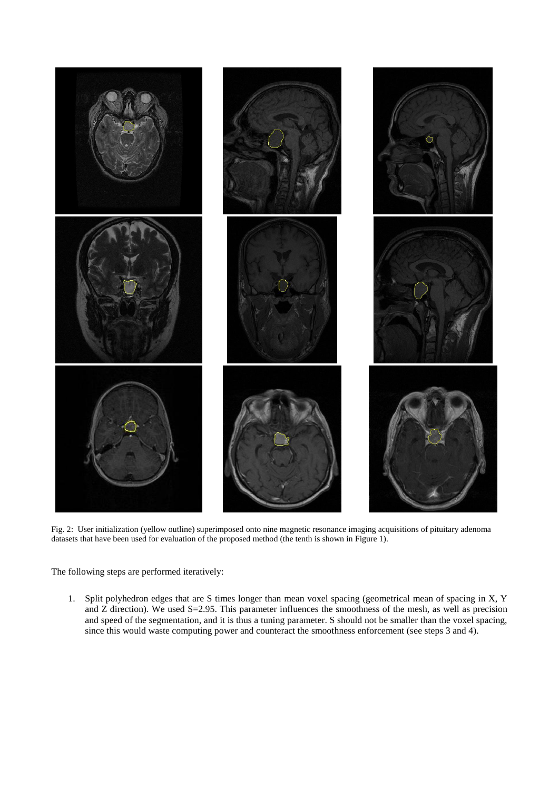

Fig. 2: User initialization (yellow outline) superimposed onto nine magnetic resonance imaging acquisitions of pituitary adenoma datasets that have been used for evaluation of the proposed method (the tenth is shown in Figure 1).

The following steps are performed iteratively:

1. Split polyhedron edges that are S times longer than mean voxel spacing (geometrical mean of spacing in X, Y and Z direction). We used S=2.95. This parameter influences the smoothness of the mesh, as well as precision and speed of the segmentation, and it is thus a tuning parameter. S should not be smaller than the voxel spacing, since this would waste computing power and counteract the smoothness enforcement (see steps 3 and 4).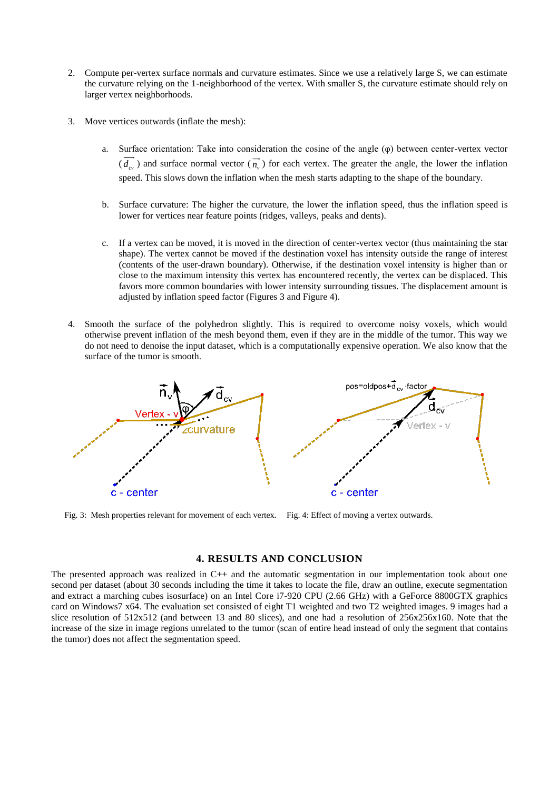- 2. Compute per-vertex surface normals and curvature estimates. Since we use a relatively large S, we can estimate the curvature relying on the 1-neighborhood of the vertex. With smaller S, the curvature estimate should rely on larger vertex neighborhoods.
- 3. Move vertices outwards (inflate the mesh):
	- a. Surface orientation: Take into consideration the cosine of the angle (φ) between center-vertex vector  $(d_{cv})$  and surface normal vector  $(\overrightarrow{n_v})$  for each vertex. The greater the angle, the lower the inflation speed. This slows down the inflation when the mesh starts adapting to the shape of the boundary.
	- b. Surface curvature: The higher the curvature, the lower the inflation speed, thus the inflation speed is lower for vertices near feature points (ridges, valleys, peaks and dents).
	- c. If a vertex can be moved, it is moved in the direction of center-vertex vector (thus maintaining the star shape). The vertex cannot be moved if the destination voxel has intensity outside the range of interest (contents of the user-drawn boundary). Otherwise, if the destination voxel intensity is higher than or close to the maximum intensity this vertex has encountered recently, the vertex can be displaced. This favors more common boundaries with lower intensity surrounding tissues. The displacement amount is adjusted by inflation speed factor (Figures 3 and Figure 4).
- 4. Smooth the surface of the polyhedron slightly. This is required to overcome noisy voxels, which would otherwise prevent inflation of the mesh beyond them, even if they are in the middle of the tumor. This way we do not need to denoise the input dataset, which is a computationally expensive operation. We also know that the surface of the tumor is smooth.



Fig. 3: Mesh properties relevant for movement of each vertex. Fig. 4: Effect of moving a vertex outwards.

## **4. RESULTS AND CONCLUSION**

The presented approach was realized in C++ and the automatic segmentation in our implementation took about one second per dataset (about 30 seconds including the time it takes to locate the file, draw an outline, execute segmentation and extract a marching cubes isosurface) on an Intel Core i7-920 CPU (2.66 GHz) with a GeForce 8800GTX graphics card on Windows7 x64. The evaluation set consisted of eight T1 weighted and two T2 weighted images. 9 images had a slice resolution of 512x512 (and between 13 and 80 slices), and one had a resolution of 256x256x160. Note that the increase of the size in image regions unrelated to the tumor (scan of entire head instead of only the segment that contains the tumor) does not affect the segmentation speed.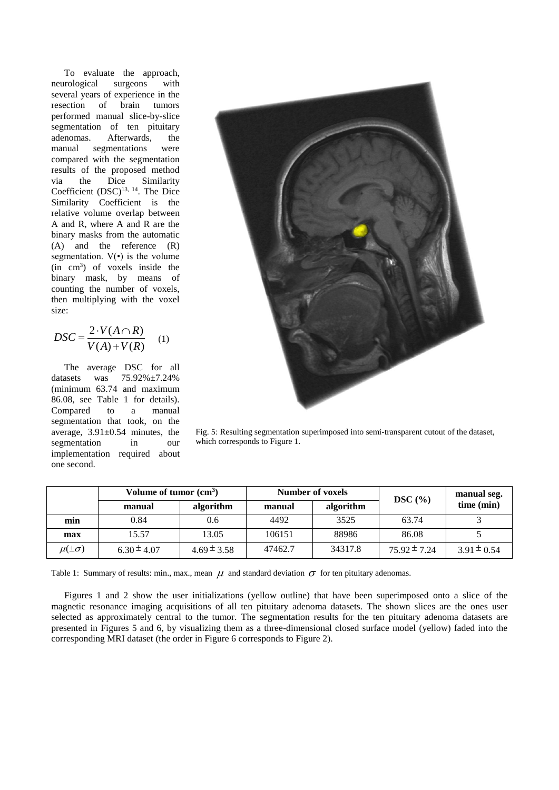To evaluate the approach, neurological surgeons with several years of experience in the resection of brain tumors performed manual slice-by-slice segmentation of ten pituitary adenomas. Afterwards, the manual segmentations were compared with the segmentation results of the proposed method via the Dice Similarity Coefficient  $(DSC)^{13, 14}$ . The Dice Similarity Coefficient is the relative volume overlap between A and R, where A and R are the binary masks from the automatic (A) and the reference (R) segmentation.  $V(\cdot)$  is the volume (in cm<sup>3</sup> ) of voxels inside the binary mask, by means of counting the number of voxels, then multiplying with the voxel size:

$$
DSC = \frac{2 \cdot V(A \cap R)}{V(A) + V(R)} \quad (1)
$$

The average DSC for all datasets was 75.92%±7.24% (minimum 63.74 and maximum 86.08, see Table 1 for details). Compared to a manual segmentation that took, on the average, 3.91±0.54 minutes, the segmentation in our implementation required about one second.



Fig. 5: Resulting segmentation superimposed into semi-transparent cutout of the dataset, which corresponds to Figure 1.

|                  | Volume of tumor (cm <sup>3</sup> ) |                 | <b>Number of voxels</b> |           | $\overline{\text{DSC}}$ (%) | manual seg.     |
|------------------|------------------------------------|-----------------|-------------------------|-----------|-----------------------------|-----------------|
|                  | manual                             | algorithm       | manual                  | algorithm |                             | time (min)      |
| min              | 0.84                               | 0.6             | 4492                    | 3525      | 63.74                       |                 |
| max              | 15.57                              | 13.05           | 106151                  | 88986     | 86.08                       |                 |
| $\mu(\pm\sigma)$ | $6.30 \pm 4.07$                    | $4.69 \pm 3.58$ | 47462.7                 | 34317.8   | $75.92 \pm 7.24$            | $3.91 \pm 0.54$ |

Table 1: Summary of results: min., max., mean  $\mu$  and standard deviation  $\sigma$  for ten pituitary adenomas.

Figures 1 and 2 show the user initializations (yellow outline) that have been superimposed onto a slice of the magnetic resonance imaging acquisitions of all ten pituitary adenoma datasets. The shown slices are the ones user selected as approximately central to the tumor. The segmentation results for the ten pituitary adenoma datasets are presented in Figures 5 and 6, by visualizing them as a three-dimensional closed surface model (yellow) faded into the corresponding MRI dataset (the order in Figure 6 corresponds to Figure 2).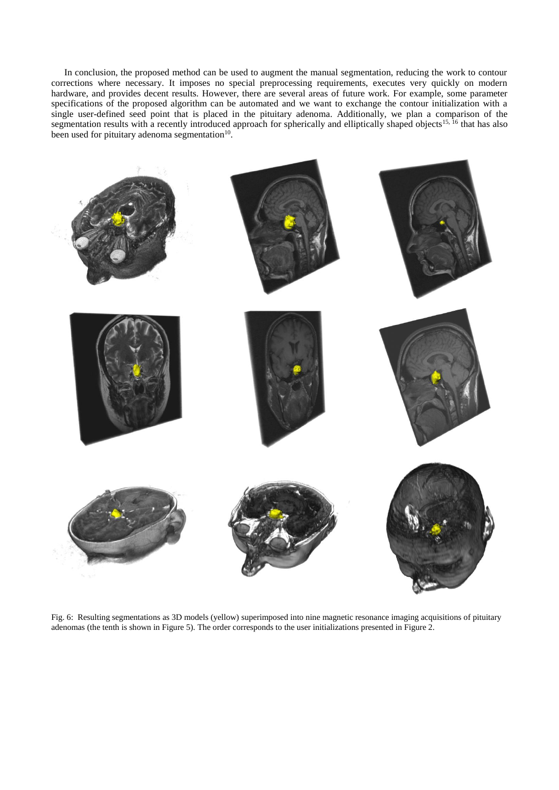In conclusion, the proposed method can be used to augment the manual segmentation, reducing the work to contour corrections where necessary. It imposes no special preprocessing requirements, executes very quickly on modern hardware, and provides decent results. However, there are several areas of future work. For example, some parameter specifications of the proposed algorithm can be automated and we want to exchange the contour initialization with a single user-defined seed point that is placed in the pituitary adenoma. Additionally, we plan a comparison of the segmentation results with a recently introduced approach for spherically and elliptically shaped objects<sup>15, 16</sup> that has also been used for pituitary adenoma segmentation $10$ .



Fig. 6: Resulting segmentations as 3D models (yellow) superimposed into nine magnetic resonance imaging acquisitions of pituitary adenomas (the tenth is shown in Figure 5). The order corresponds to the user initializations presented in Figure 2.